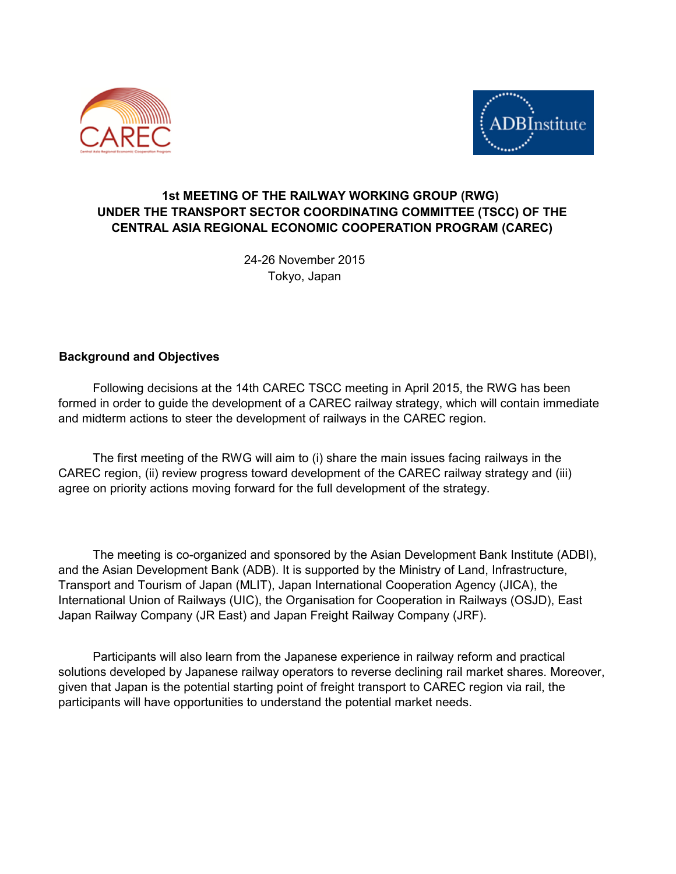



## **1st MEETING OF THE RAILWAY WORKING GROUP (RWG) UNDER THE TRANSPORT SECTOR COORDINATING COMMITTEE (TSCC) OF THE CENTRAL ASIA REGIONAL ECONOMIC COOPERATION PROGRAM (CAREC)**

24-26 November 2015 Tokyo, Japan

### **Background and Objectives**

 Following decisions at the 14th CAREC TSCC meeting in April 2015, the RWG has been formed in order to guide the development of a CAREC railway strategy, which will contain immediate and midterm actions to steer the development of railways in the CAREC region.

 The first meeting of the RWG will aim to (i) share the main issues facing railways in the CAREC region, (ii) review progress toward development of the CAREC railway strategy and (iii) agree on priority actions moving forward for the full development of the strategy.

 The meeting is co-organized and sponsored by the Asian Development Bank Institute (ADBI), and the Asian Development Bank (ADB). It is supported by the Ministry of Land, Infrastructure, Transport and Tourism of Japan (MLIT), Japan International Cooperation Agency (JICA), the International Union of Railways (UIC), the Organisation for Cooperation in Railways (OSJD), East Japan Railway Company (JR East) and Japan Freight Railway Company (JRF).

 Participants will also learn from the Japanese experience in railway reform and practical solutions developed by Japanese railway operators to reverse declining rail market shares. Moreover, given that Japan is the potential starting point of freight transport to CAREC region via rail, the participants will have opportunities to understand the potential market needs.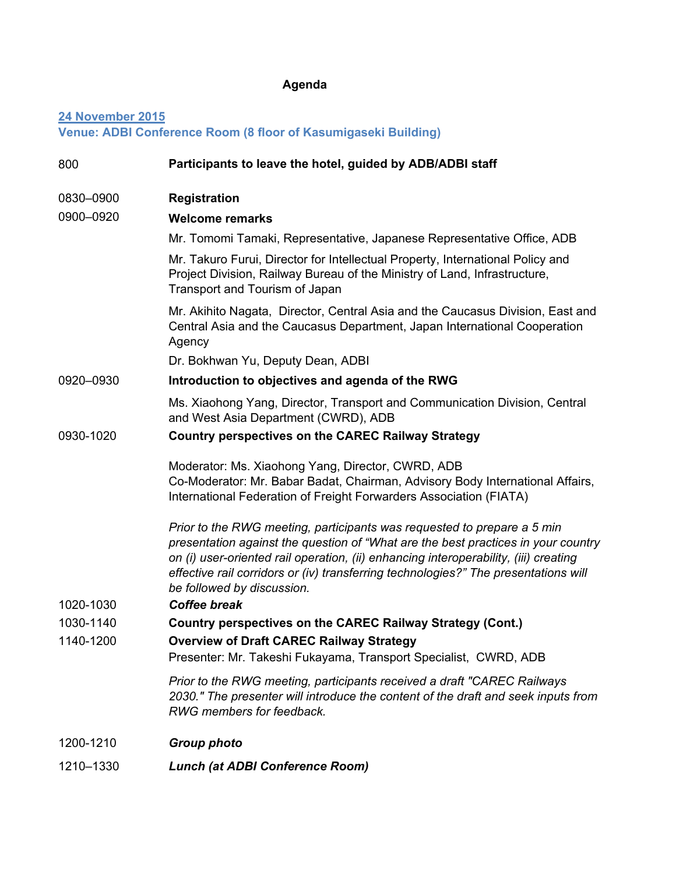# **Agenda**

## **24 November 2015 Venue: ADBI Conference Room (8 floor of Kasumigaseki Building)**

| 800                    | Participants to leave the hotel, guided by ADB/ADBI staff                                                                                                                                                                                                                                                                                                                                        |
|------------------------|--------------------------------------------------------------------------------------------------------------------------------------------------------------------------------------------------------------------------------------------------------------------------------------------------------------------------------------------------------------------------------------------------|
| 0830-0900              | <b>Registration</b>                                                                                                                                                                                                                                                                                                                                                                              |
| 0900-0920              | <b>Welcome remarks</b>                                                                                                                                                                                                                                                                                                                                                                           |
|                        | Mr. Tomomi Tamaki, Representative, Japanese Representative Office, ADB                                                                                                                                                                                                                                                                                                                           |
|                        | Mr. Takuro Furui, Director for Intellectual Property, International Policy and<br>Project Division, Railway Bureau of the Ministry of Land, Infrastructure,<br>Transport and Tourism of Japan                                                                                                                                                                                                    |
|                        | Mr. Akihito Nagata, Director, Central Asia and the Caucasus Division, East and<br>Central Asia and the Caucasus Department, Japan International Cooperation<br>Agency                                                                                                                                                                                                                            |
|                        | Dr. Bokhwan Yu, Deputy Dean, ADBI                                                                                                                                                                                                                                                                                                                                                                |
| 0920-0930              | Introduction to objectives and agenda of the RWG                                                                                                                                                                                                                                                                                                                                                 |
|                        | Ms. Xiaohong Yang, Director, Transport and Communication Division, Central<br>and West Asia Department (CWRD), ADB                                                                                                                                                                                                                                                                               |
| 0930-1020<br>1020-1030 | <b>Country perspectives on the CAREC Railway Strategy</b>                                                                                                                                                                                                                                                                                                                                        |
|                        | Moderator: Ms. Xiaohong Yang, Director, CWRD, ADB<br>Co-Moderator: Mr. Babar Badat, Chairman, Advisory Body International Affairs,<br>International Federation of Freight Forwarders Association (FIATA)                                                                                                                                                                                         |
|                        | Prior to the RWG meeting, participants was requested to prepare a 5 min<br>presentation against the question of "What are the best practices in your country<br>on (i) user-oriented rail operation, (ii) enhancing interoperability, (iii) creating<br>effective rail corridors or (iv) transferring technologies?" The presentations will<br>be followed by discussion.<br><b>Coffee break</b> |
| 1030-1140              | Country perspectives on the CAREC Railway Strategy (Cont.)                                                                                                                                                                                                                                                                                                                                       |
| 1140-1200              | <b>Overview of Draft CAREC Railway Strategy</b><br>Presenter: Mr. Takeshi Fukayama, Transport Specialist, CWRD, ADB                                                                                                                                                                                                                                                                              |
|                        | Prior to the RWG meeting, participants received a draft "CAREC Railways"<br>2030." The presenter will introduce the content of the draft and seek inputs from<br>RWG members for feedback.                                                                                                                                                                                                       |
| 1200-1210              | <b>Group photo</b>                                                                                                                                                                                                                                                                                                                                                                               |
| 1210-1330              | <b>Lunch (at ADBI Conference Room)</b>                                                                                                                                                                                                                                                                                                                                                           |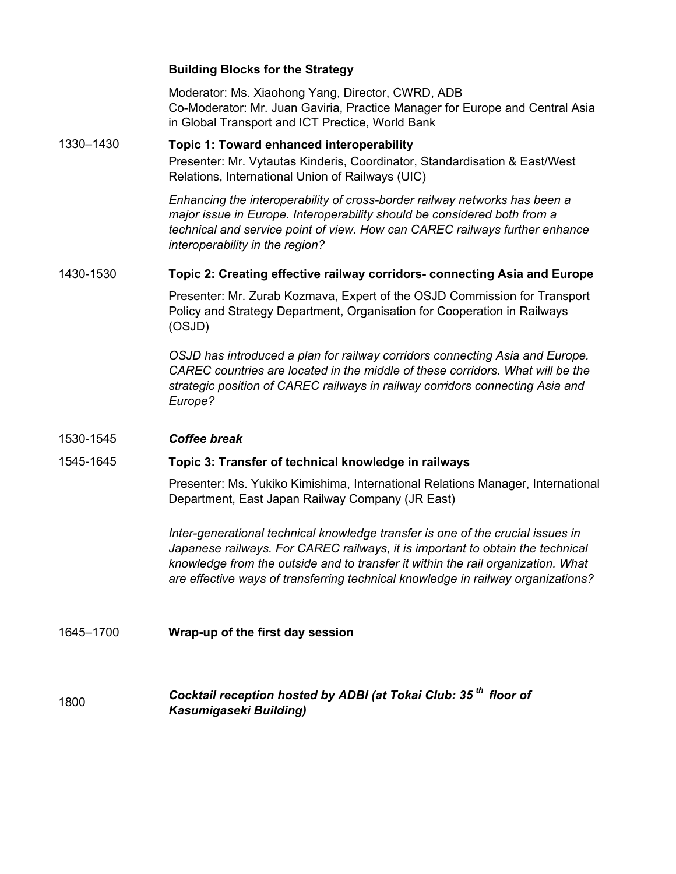#### **Building Blocks for the Strategy**

Moderator: Ms. Xiaohong Yang, Director, CWRD, ADB Co-Moderator: Mr. Juan Gaviria, Practice Manager for Europe and Central Asia in Global Transport and ICT Prectice, World Bank

#### **Topic 1: Toward enhanced interoperability** Presenter: Mr. Vytautas Kinderis, Coordinator, Standardisation & East/West Relations, International Union of Railways (UIC) 1330–1430

*Enhancing the interoperability of cross-border railway networks has been a major issue in Europe. Interoperability should be considered both from a technical and service point of view. How can CAREC railways further enhance interoperability in the region?*

#### 1430-1530 **Topic 2: Creating effective railway corridors- connecting Asia and Europe**

Presenter: Mr. Zurab Kozmava, Expert of the OSJD Commission for Transport Policy and Strategy Department, Organisation for Cooperation in Railways (OSJD)

*OSJD has introduced a plan for railway corridors connecting Asia and Europe. CAREC countries are located in the middle of these corridors. What will be the strategic position of CAREC railways in railway corridors connecting Asia and Europe?* 

#### 1530-1545 *Coffee break*

#### 1545-1645 **Topic 3: Transfer of technical knowledge in railways**

Presenter: Ms. Yukiko Kimishima, International Relations Manager, International Department, East Japan Railway Company (JR East)

*Inter-generational technical knowledge transfer is one of the crucial issues in*  Japanese railways. For CAREC railways, it is important to obtain the technical *knowledge from the outside and to transfer it within the rail organization. What are effective ways of transferring technical knowledge in railway organizations?*

### 1645–1700 **Wrap-up of the first day session**

1800 *Cocktail reception hosted by ADBI (at Tokai Club: 35 th floor of Kasumigaseki Building)*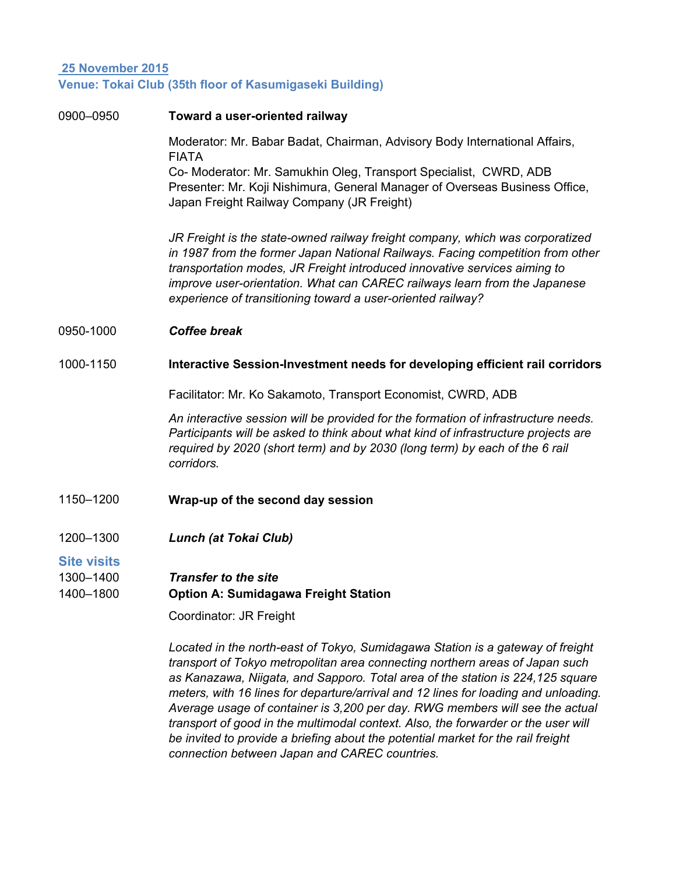## **25 November 2015 Venue: Tokai Club (35th floor of Kasumigaseki Building)**

| 0900-0950              | Toward a user-oriented railway                                                                                                                                                                                                                                                                                                                                                           |
|------------------------|------------------------------------------------------------------------------------------------------------------------------------------------------------------------------------------------------------------------------------------------------------------------------------------------------------------------------------------------------------------------------------------|
|                        | Moderator: Mr. Babar Badat, Chairman, Advisory Body International Affairs,<br><b>FIATA</b>                                                                                                                                                                                                                                                                                               |
|                        | Co- Moderator: Mr. Samukhin Oleg, Transport Specialist, CWRD, ADB<br>Presenter: Mr. Koji Nishimura, General Manager of Overseas Business Office,<br>Japan Freight Railway Company (JR Freight)                                                                                                                                                                                           |
|                        | JR Freight is the state-owned railway freight company, which was corporatized<br>in 1987 from the former Japan National Railways. Facing competition from other<br>transportation modes, JR Freight introduced innovative services aiming to<br>improve user-orientation. What can CAREC railways learn from the Japanese<br>experience of transitioning toward a user-oriented railway? |
| 0950-1000              | <b>Coffee break</b>                                                                                                                                                                                                                                                                                                                                                                      |
| 1000-1150              | Interactive Session-Investment needs for developing efficient rail corridors                                                                                                                                                                                                                                                                                                             |
|                        | Facilitator: Mr. Ko Sakamoto, Transport Economist, CWRD, ADB                                                                                                                                                                                                                                                                                                                             |
|                        | An interactive session will be provided for the formation of infrastructure needs.<br>Participants will be asked to think about what kind of infrastructure projects are<br>required by 2020 (short term) and by 2030 (long term) by each of the 6 rail<br>corridors.                                                                                                                    |
| 1150-1200              | Wrap-up of the second day session                                                                                                                                                                                                                                                                                                                                                        |
| 1200-1300              | Lunch (at Tokai Club)                                                                                                                                                                                                                                                                                                                                                                    |
| <b>Site visits</b>     |                                                                                                                                                                                                                                                                                                                                                                                          |
| 1300-1400<br>1400-1800 | <b>Transfer to the site</b><br><b>Option A: Sumidagawa Freight Station</b>                                                                                                                                                                                                                                                                                                               |
|                        | Coordinator: JR Freight                                                                                                                                                                                                                                                                                                                                                                  |
|                        | Located in the north-east of Tokyo, Sumidagawa Station is a gateway of freight<br>transport of Tokyo metropolitan area connecting northern areas of Japan such<br>as Kanazawa, Nijgata, and Sannoro, Total area of the station is 224,125 square                                                                                                                                         |

*as Kanazawa, Niigata, and Sapporo. Total area of the station is 224,125 square meters, with 16 lines for departure/arrival and 12 lines for loading and unloading. Average usage of container is 3,200 per day. RWG members will see the actual transport of good in the multimodal context. Also, the forwarder or the user will be invited to provide a briefing about the potential market for the rail freight connection between Japan and CAREC countries.*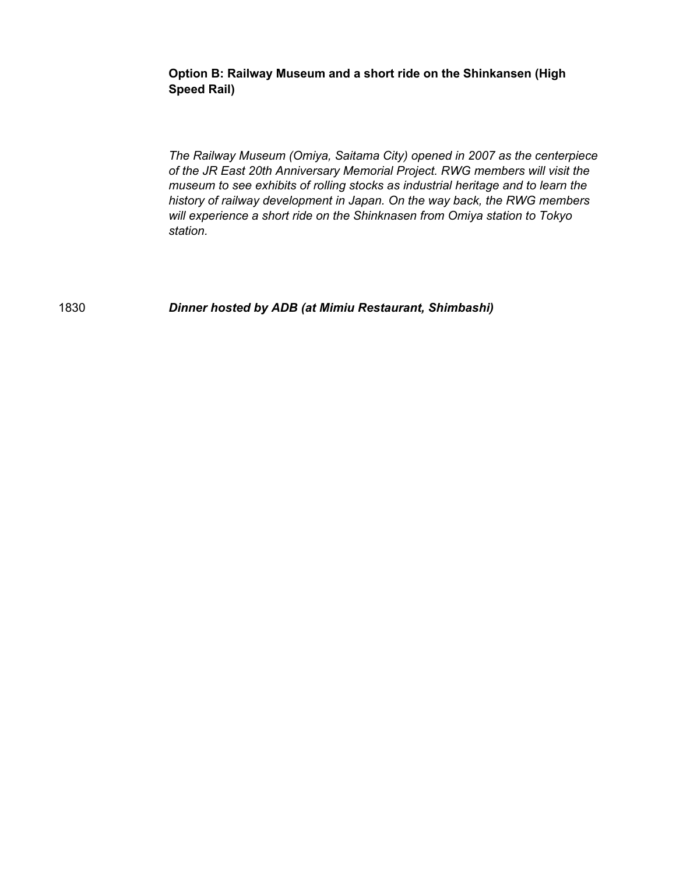**Option B: Railway Museum and a short ride on the Shinkansen (High Speed Rail)**

*The Railway Museum (Omiya, Saitama City) opened in 2007 as the centerpiece of the JR East 20th Anniversary Memorial Project. RWG members will visit the museum to see exhibits of rolling stocks as industrial heritage and to learn the history of railway development in Japan. On the way back, the RWG members will experience a short ride on the Shinknasen from Omiya station to Tokyo station.*

1830 *Dinner hosted by ADB (at Mimiu Restaurant, Shimbashi)*